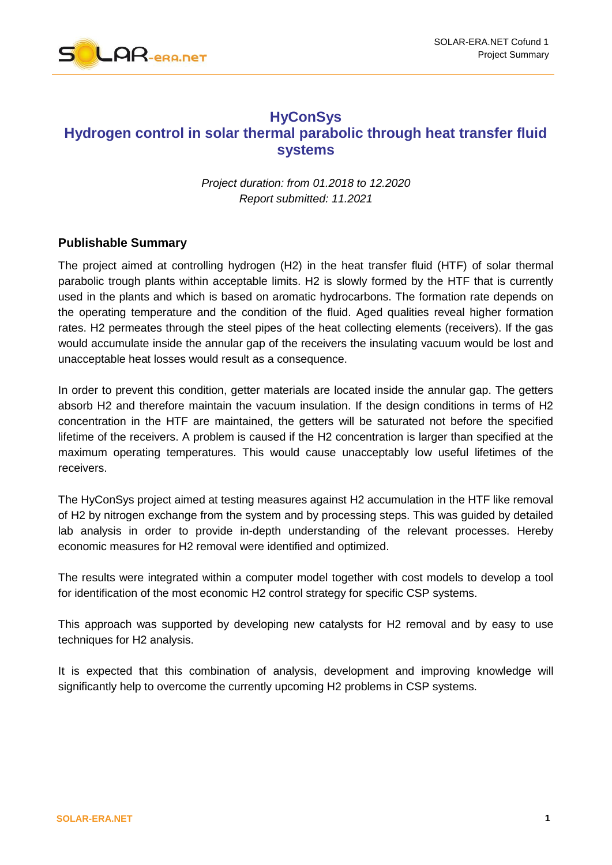

## **HyConSys Hydrogen control in solar thermal parabolic through heat transfer fluid systems**

*Project duration: from 01.2018 to 12.2020 Report submitted: 11.2021*

## **Publishable Summary**

The project aimed at controlling hydrogen (H2) in the heat transfer fluid (HTF) of solar thermal parabolic trough plants within acceptable limits. H2 is slowly formed by the HTF that is currently used in the plants and which is based on aromatic hydrocarbons. The formation rate depends on the operating temperature and the condition of the fluid. Aged qualities reveal higher formation rates. H2 permeates through the steel pipes of the heat collecting elements (receivers). If the gas would accumulate inside the annular gap of the receivers the insulating vacuum would be lost and unacceptable heat losses would result as a consequence.

In order to prevent this condition, getter materials are located inside the annular gap. The getters absorb H2 and therefore maintain the vacuum insulation. If the design conditions in terms of H2 concentration in the HTF are maintained, the getters will be saturated not before the specified lifetime of the receivers. A problem is caused if the H2 concentration is larger than specified at the maximum operating temperatures. This would cause unacceptably low useful lifetimes of the receivers.

The HyConSys project aimed at testing measures against H2 accumulation in the HTF like removal of H2 by nitrogen exchange from the system and by processing steps. This was guided by detailed lab analysis in order to provide in-depth understanding of the relevant processes. Hereby economic measures for H2 removal were identified and optimized.

The results were integrated within a computer model together with cost models to develop a tool for identification of the most economic H2 control strategy for specific CSP systems.

This approach was supported by developing new catalysts for H2 removal and by easy to use techniques for H2 analysis.

It is expected that this combination of analysis, development and improving knowledge will significantly help to overcome the currently upcoming H2 problems in CSP systems.